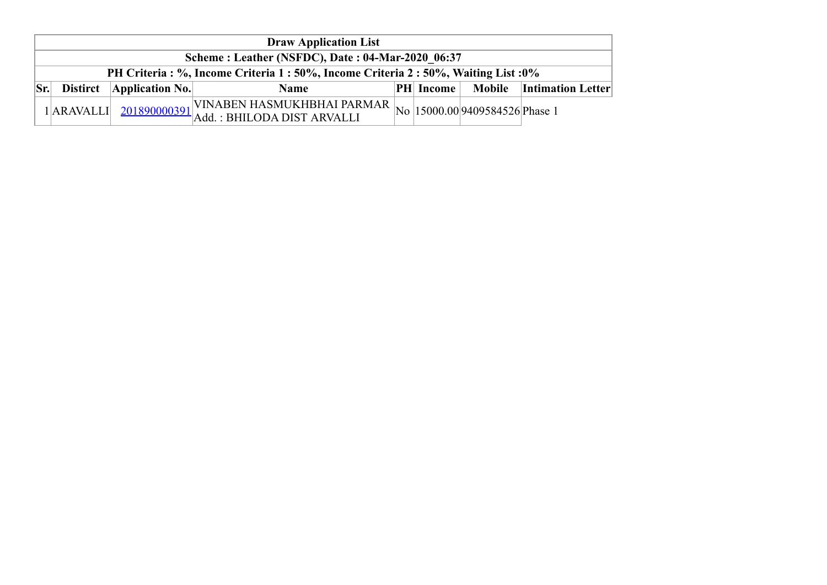|     | <b>Draw Application List</b>                                                         |                         |                                                                                                                                                                              |  |                  |  |                                 |  |  |  |  |  |
|-----|--------------------------------------------------------------------------------------|-------------------------|------------------------------------------------------------------------------------------------------------------------------------------------------------------------------|--|------------------|--|---------------------------------|--|--|--|--|--|
|     | Scheme: Leather (NSFDC), Date: 04-Mar-2020 06:37                                     |                         |                                                                                                                                                                              |  |                  |  |                                 |  |  |  |  |  |
|     | PH Criteria : %, Income Criteria 1 : 50%, Income Criteria 2 : 50%, Waiting List : 0% |                         |                                                                                                                                                                              |  |                  |  |                                 |  |  |  |  |  |
| Sr. | <b>Distirct</b>                                                                      | $\Delta$ pplication No. | <b>Name</b>                                                                                                                                                                  |  | <b>PH</b> Income |  | <b>Mobile</b> Intimation Letter |  |  |  |  |  |
|     | $1$ ARAVALLI                                                                         |                         | $_{11}$  VINABEN HASMUKHBHAI PARMAR $ _{\text{No}} _{15000.00} $ 9409584526 Phase 1<br>$\begin{bmatrix} 1 & 201890000391 \\ 4 & 1 \end{bmatrix}$ Add. : BHILODA DIST ARVALLI |  |                  |  |                                 |  |  |  |  |  |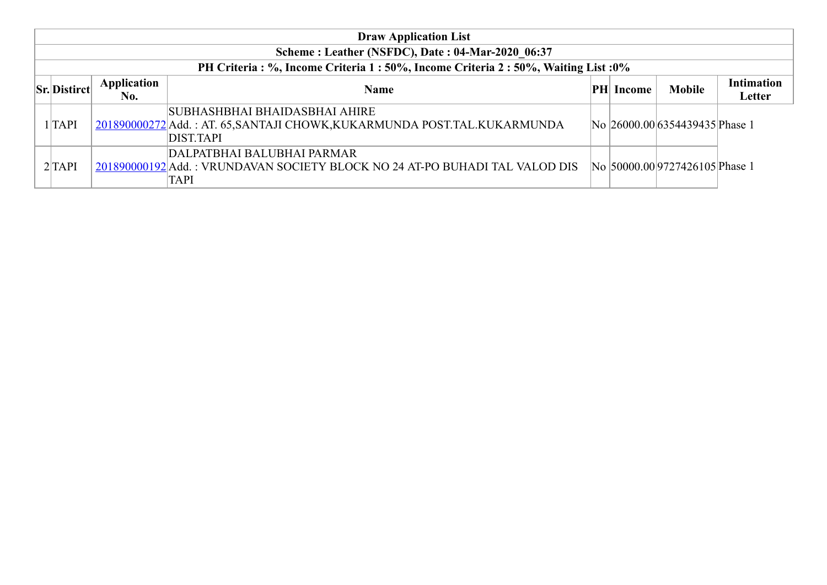|                                                                               |                    | <b>Draw Application List</b>                                                                                      |     |        |                                |            |  |  |  |  |  |  |
|-------------------------------------------------------------------------------|--------------------|-------------------------------------------------------------------------------------------------------------------|-----|--------|--------------------------------|------------|--|--|--|--|--|--|
| Scheme: Leather (NSFDC), Date: 04-Mar-2020 06:37                              |                    |                                                                                                                   |     |        |                                |            |  |  |  |  |  |  |
| PH Criteria: %, Income Criteria 1:50%, Income Criteria 2:50%, Waiting List:0% |                    |                                                                                                                   |     |        |                                |            |  |  |  |  |  |  |
| <b>Sr.</b> Distirct                                                           | <b>Application</b> | <b>Name</b>                                                                                                       | PHI | Income | <b>Mobile</b>                  | Intimation |  |  |  |  |  |  |
|                                                                               | No.                |                                                                                                                   |     |        |                                | Letter     |  |  |  |  |  |  |
| $1$ $TAPI$                                                                    |                    | SUBHASHBHAI BHAIDASBHAI AHIRE<br>201890000272 Add.: AT. 65, SANTAJI CHOWK, KUKARMUNDA POST. TAL. KUKARMUNDA       |     |        | No 26000.00 6354439435 Phase 1 |            |  |  |  |  |  |  |
|                                                                               |                    | DIST.TAPI                                                                                                         |     |        |                                |            |  |  |  |  |  |  |
| 2 TAPI                                                                        |                    | DALPATBHAI BALUBHAI PARMAR<br>201890000192 Add.: VRUNDAVAN SOCIETY BLOCK NO 24 AT-PO BUHADI TAL VALOD DIS<br>TAPI |     |        | No 50000.00 9727426105 Phase 1 |            |  |  |  |  |  |  |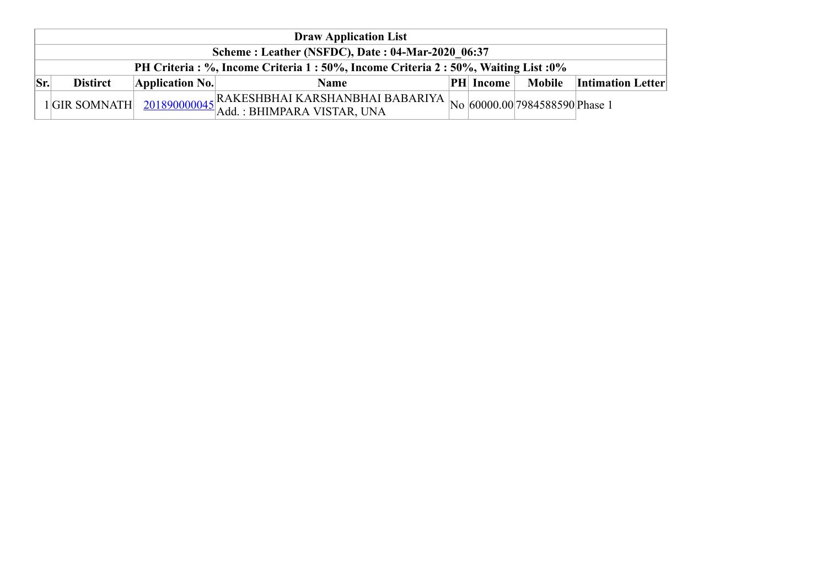|     | <b>Draw Application List</b>                                                         |                         |                                                          |  |                  |        |                          |  |  |  |  |
|-----|--------------------------------------------------------------------------------------|-------------------------|----------------------------------------------------------|--|------------------|--------|--------------------------|--|--|--|--|
|     | Scheme: Leather (NSFDC), Date: 04-Mar-2020 06:37                                     |                         |                                                          |  |                  |        |                          |  |  |  |  |
|     | PH Criteria : %, Income Criteria 1 : 50%, Income Criteria 2 : 50%, Waiting List : 0% |                         |                                                          |  |                  |        |                          |  |  |  |  |
| Sr. | <b>Distirct</b>                                                                      | $\Delta$ pplication No. | <b>Name</b>                                              |  | <b>PH</b> Income | Mobile | <b>Intimation Letter</b> |  |  |  |  |
|     | 1GIR SOMNATH                                                                         |                         | $\frac{201890000045}{\text{Add.}:}$ BHIMPARA VISTAR, UNA |  |                  |        |                          |  |  |  |  |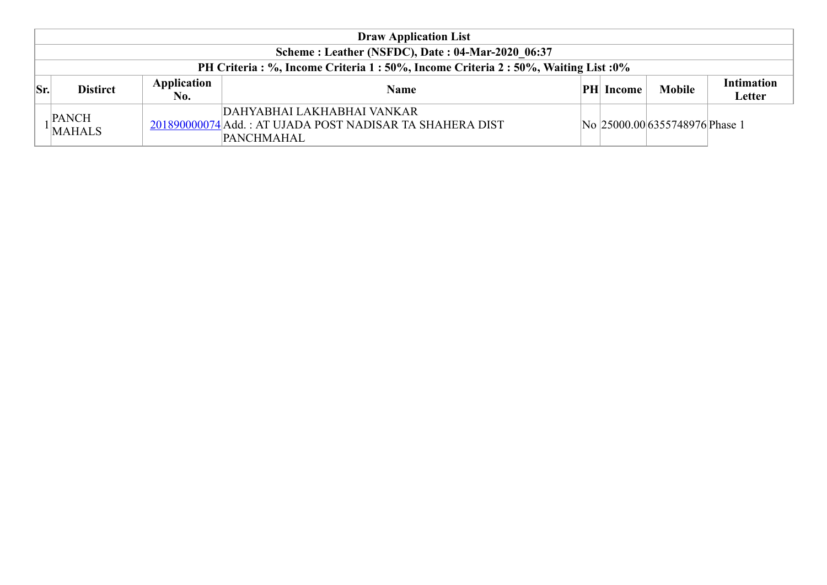|     | <b>Draw Application List</b>                                                  |                    |                                                                                                             |  |                  |                                |                             |  |  |  |  |  |
|-----|-------------------------------------------------------------------------------|--------------------|-------------------------------------------------------------------------------------------------------------|--|------------------|--------------------------------|-----------------------------|--|--|--|--|--|
|     | Scheme: Leather (NSFDC), Date: 04-Mar-2020 06:37                              |                    |                                                                                                             |  |                  |                                |                             |  |  |  |  |  |
|     | PH Criteria: %, Income Criteria 1:50%, Income Criteria 2:50%, Waiting List:0% |                    |                                                                                                             |  |                  |                                |                             |  |  |  |  |  |
| Sr. | <b>Distirct</b>                                                               | Application<br>No. | <b>Name</b>                                                                                                 |  | <b>PH</b> Income | <b>Mobile</b>                  | <b>Intimation</b><br>Letter |  |  |  |  |  |
|     | <b>PANCH</b><br>MAHALS                                                        |                    | DAHYABHAI LAKHABHAI VANKAR<br>201890000074 Add.: AT UJADA POST NADISAR TA SHAHERA DIST<br><b>PANCHMAHAL</b> |  |                  | No 25000.00 6355748976 Phase 1 |                             |  |  |  |  |  |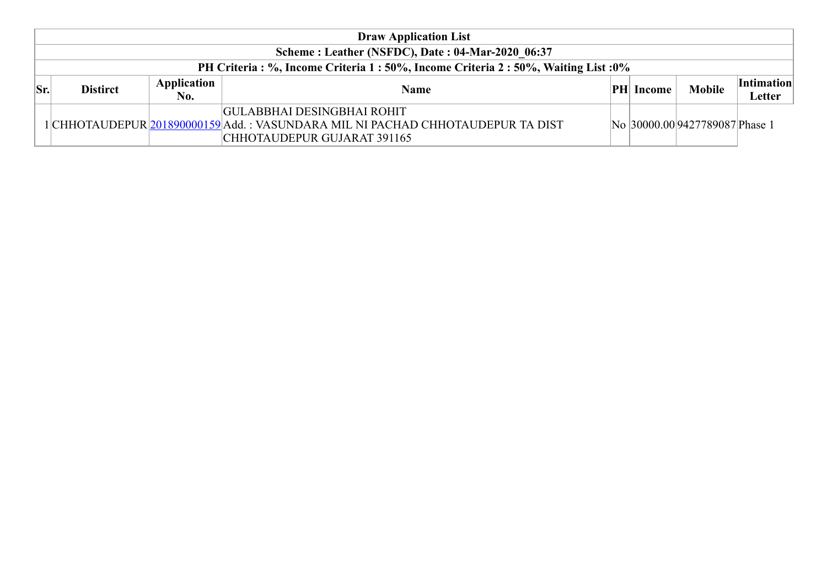|     | <b>Draw Application List</b>                                                         |                    |                                                                                                                                                     |  |                  |                                |                             |  |  |  |  |
|-----|--------------------------------------------------------------------------------------|--------------------|-----------------------------------------------------------------------------------------------------------------------------------------------------|--|------------------|--------------------------------|-----------------------------|--|--|--|--|
|     | Scheme: Leather (NSFDC), Date: 04-Mar-2020 06:37                                     |                    |                                                                                                                                                     |  |                  |                                |                             |  |  |  |  |
|     | PH Criteria : %, Income Criteria 1 : 50%, Income Criteria 2 : 50%, Waiting List : 0% |                    |                                                                                                                                                     |  |                  |                                |                             |  |  |  |  |
| Sr. | <b>Distirct</b>                                                                      | Application<br>No. | Name                                                                                                                                                |  | <b>PH</b> Income | <b>Mobile</b>                  | <i>Intimation</i><br>Letter |  |  |  |  |
|     |                                                                                      |                    | <b>GULABBHAI DESINGBHAI ROHIT</b><br>1 CHHOTAUDEPUR 201890000159 Add. : VASUNDARA MIL NI PACHAD CHHOTAUDEPUR TA DIST<br>CHHOTAUDEPUR GUJARAT 391165 |  |                  | No 30000.00 9427789087 Phase 1 |                             |  |  |  |  |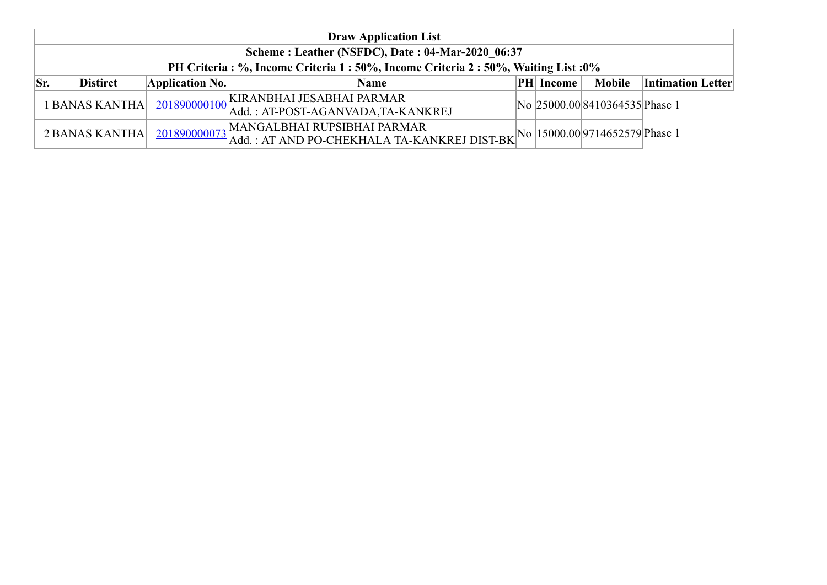|           | <b>Draw Application List</b>                     |                 |                                                                                                                                                |  |               |                                |                          |  |  |  |  |  |
|-----------|--------------------------------------------------|-----------------|------------------------------------------------------------------------------------------------------------------------------------------------|--|---------------|--------------------------------|--------------------------|--|--|--|--|--|
|           | Scheme: Leather (NSFDC), Date: 04-Mar-2020 06:37 |                 |                                                                                                                                                |  |               |                                |                          |  |  |  |  |  |
|           |                                                  |                 | PH Criteria: %, Income Criteria 1:50%, Income Criteria 2:50%, Waiting List:0%                                                                  |  |               |                                |                          |  |  |  |  |  |
| $ S_{r} $ | <b>Distirct</b>                                  | Application No. | <b>Name</b>                                                                                                                                    |  | $ PH $ Income | <b>Mobile</b>                  | <b>Intimation Letter</b> |  |  |  |  |  |
|           | 1BANAS KANTHA                                    |                 | 201890000100 KIRANBHAI JESABHAI PARMAR<br>  Add. : AT-POST-AGANVADA,TA-KANKREJ                                                                 |  |               | No 25000.00 8410364535 Phase 1 |                          |  |  |  |  |  |
|           | 2BANAS KANTHA                                    |                 | $\frac{201890000073}{\text{Add.}: AT AND PO-CHEKHALA TA-KANKREJ DIST-BK} \boxed{\text{No}} \boxed{15000.00} 9714652579 \boxed{\text{Phase 1}}$ |  |               |                                |                          |  |  |  |  |  |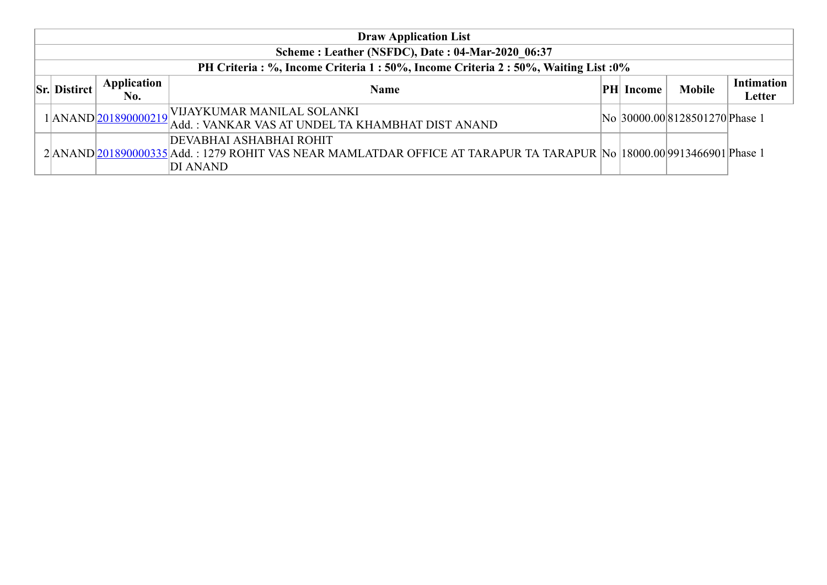| <b>Draw Application List</b>                                                  |                    |                                                                                                                                                                     |  |                  |                                |                      |  |  |  |  |  |
|-------------------------------------------------------------------------------|--------------------|---------------------------------------------------------------------------------------------------------------------------------------------------------------------|--|------------------|--------------------------------|----------------------|--|--|--|--|--|
| Scheme: Leather (NSFDC), Date: 04-Mar-2020 06:37                              |                    |                                                                                                                                                                     |  |                  |                                |                      |  |  |  |  |  |
| PH Criteria: %, Income Criteria 1:50%, Income Criteria 2:50%, Waiting List:0% |                    |                                                                                                                                                                     |  |                  |                                |                      |  |  |  |  |  |
| <b>Sr. Distirct</b>                                                           | Application<br>No. | <b>Name</b>                                                                                                                                                         |  | <b>PH</b> Income | <b>Mobile</b>                  | Intimation<br>Letter |  |  |  |  |  |
|                                                                               |                    | 1 ANAND 201890000219 VIJAYKUMAR MANILAL SOLANKI<br>Add.: VANKAR VAS AT UNDEL TA KHAMBHAT DIST ANAND                                                                 |  |                  | No 30000.00 8128501270 Phase 1 |                      |  |  |  |  |  |
|                                                                               |                    | <b>DEVABHAI ASHABHAI ROHIT</b><br>2 ANAND 201890000335 Add.: 1279 ROHIT VAS NEAR MAMLATDAR OFFICE AT TARAPUR TA TARAPUR No  18000.00 9913466901 Phase 1<br>DI ANAND |  |                  |                                |                      |  |  |  |  |  |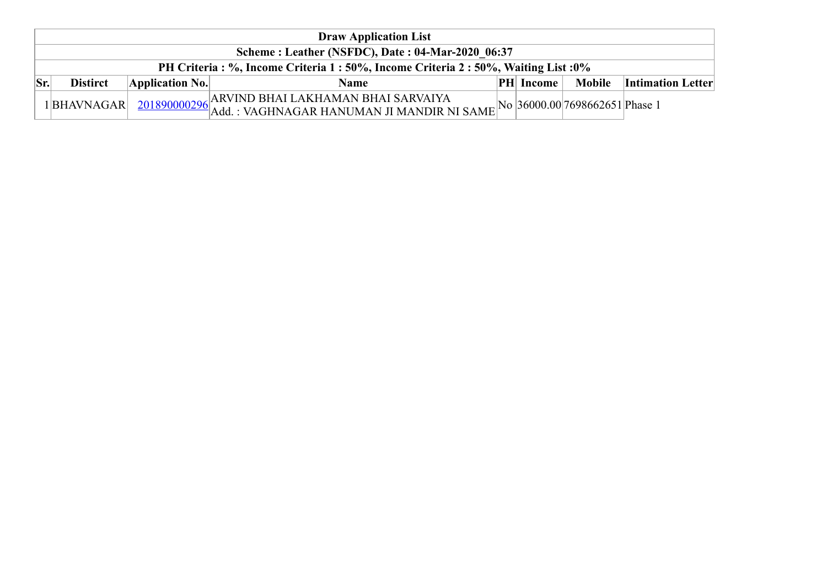| <b>Draw Application List</b> |                                                                                      |                                                                                                        |  |                  |        |                          |  |  |  |  |  |
|------------------------------|--------------------------------------------------------------------------------------|--------------------------------------------------------------------------------------------------------|--|------------------|--------|--------------------------|--|--|--|--|--|
|                              | Scheme: Leather (NSFDC), Date: 04-Mar-2020 06:37                                     |                                                                                                        |  |                  |        |                          |  |  |  |  |  |
|                              | PH Criteria : %, Income Criteria 1 : 50%, Income Criteria 2 : 50%, Waiting List : 0% |                                                                                                        |  |                  |        |                          |  |  |  |  |  |
| Sr.<br><b>Distirct</b>       | Application No.                                                                      | Name                                                                                                   |  | <b>PH</b> Income | Mobile | <b>Intimation Letter</b> |  |  |  |  |  |
| 1BHAVNAGAR                   |                                                                                      | $\frac{201890000296}{\text{Add.}:}$ VAGHNAGAR HANUMAN JI MANDIR NI SAME No 36000.00 7698662651 Phase 1 |  |                  |        |                          |  |  |  |  |  |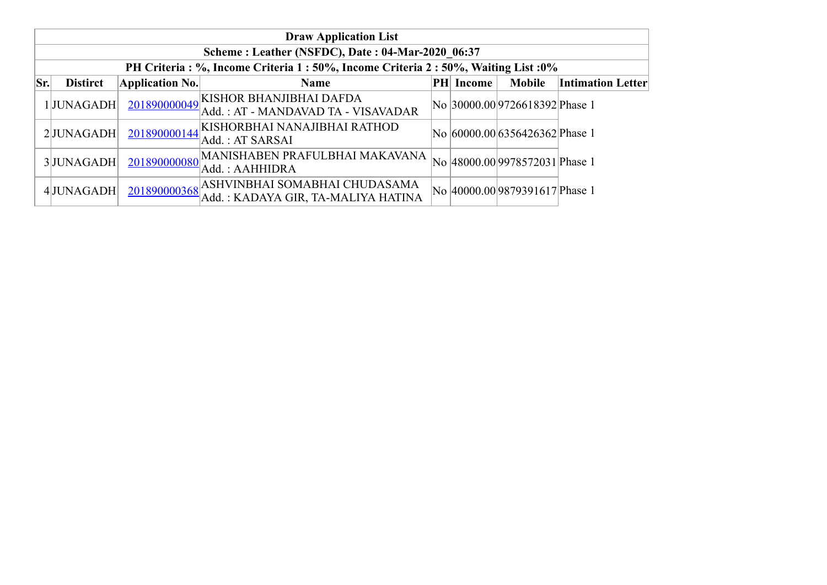|     | <b>Draw Application List</b>                                                         |                        |                                                                                  |  |           |                                |                          |  |  |  |  |  |
|-----|--------------------------------------------------------------------------------------|------------------------|----------------------------------------------------------------------------------|--|-----------|--------------------------------|--------------------------|--|--|--|--|--|
|     | Scheme: Leather (NSFDC), Date: 04-Mar-2020 06:37                                     |                        |                                                                                  |  |           |                                |                          |  |  |  |  |  |
|     | PH Criteria : %, Income Criteria 1 : 50%, Income Criteria 2 : 50%, Waiting List : 0% |                        |                                                                                  |  |           |                                |                          |  |  |  |  |  |
| Sr. | <b>Distirct</b>                                                                      | <b>Application No.</b> | <b>Name</b>                                                                      |  | PH Income | <b>Mobile</b>                  | <b>Intimation Letter</b> |  |  |  |  |  |
|     | 1JUNAGADH                                                                            |                        | 201890000049 KISHOR BHANJIBHAI DAFDA<br>Add.: AT - MANDAVAD TA - VISAVADAR       |  |           | No 30000.00 9726618392 Phase 1 |                          |  |  |  |  |  |
|     | 2JUNAGADH                                                                            |                        | 201890000144 KISHORBHAI NANAJIBHAI RATHOD<br>Add.: AT SARSAI                     |  |           | No 60000.00 6356426362 Phase 1 |                          |  |  |  |  |  |
|     | 3JUNAGADH                                                                            |                        | 201890000080 MANISHABEN PRAFULBHAI MAKAVANA<br>Add.: AAHHIDRA                    |  |           | No 48000.00 9978572031 Phase 1 |                          |  |  |  |  |  |
|     | 4JUNAGADH                                                                            |                        | 201890000368 ASHVINBHAI SOMABHAI CHUDASAMA<br>Add.: KADAYA GIR, TA-MALIYA HATINA |  |           | No 40000.00 9879391617 Phase 1 |                          |  |  |  |  |  |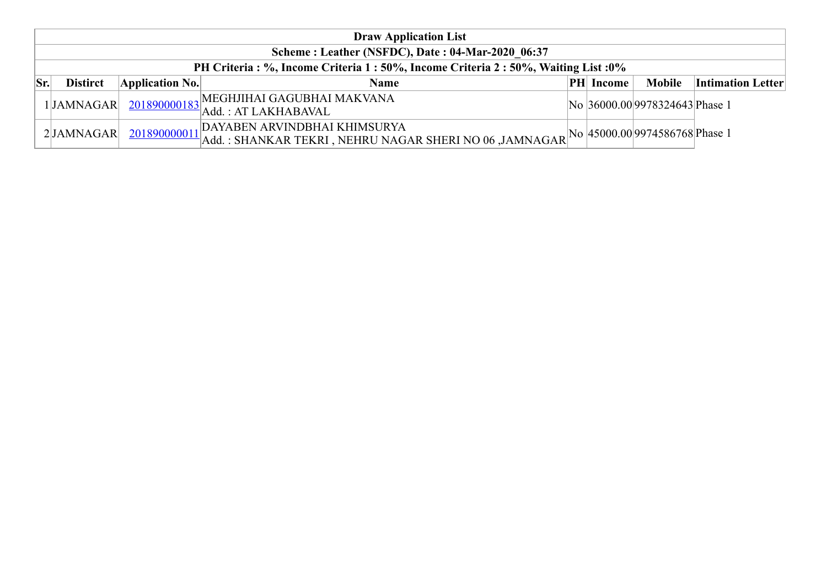|            | <b>Draw Application List</b>                     |                 |                                                                                                                                                                       |  |                  |                                |                          |  |  |  |  |
|------------|--------------------------------------------------|-----------------|-----------------------------------------------------------------------------------------------------------------------------------------------------------------------|--|------------------|--------------------------------|--------------------------|--|--|--|--|
|            | Scheme: Leather (NSFDC), Date: 04-Mar-2020 06:37 |                 |                                                                                                                                                                       |  |                  |                                |                          |  |  |  |  |
|            |                                                  |                 | PH Criteria: %, Income Criteria 1:50%, Income Criteria 2:50%, Waiting List:0%                                                                                         |  |                  |                                |                          |  |  |  |  |
| $ S_{r.} $ | <b>Distirct</b>                                  | Application No. | <b>Name</b>                                                                                                                                                           |  | <b>PH</b> Income | Mobile                         | <b>Intimation Letter</b> |  |  |  |  |
|            |                                                  |                 | $\frac{1}{2}$ JAMNAGAR $\frac{201890000183}{201890000183}$ Add.: AT LAKHABAVAL                                                                                        |  |                  | No 36000.00 9978324643 Phase 1 |                          |  |  |  |  |
|            | 2JAMNAGAR                                        |                 | DAYABEN ARVINDBHAI KHIMSURYA<br>$\frac{201890000011}{\text{Add.}:}$ SHANKAR TEKRI, NEHRU NAGAR SHERI NO 06, JAMNAGAR NAGAR $\frac{N}{10}$ 45000.00 9974586768 Phase 1 |  |                  |                                |                          |  |  |  |  |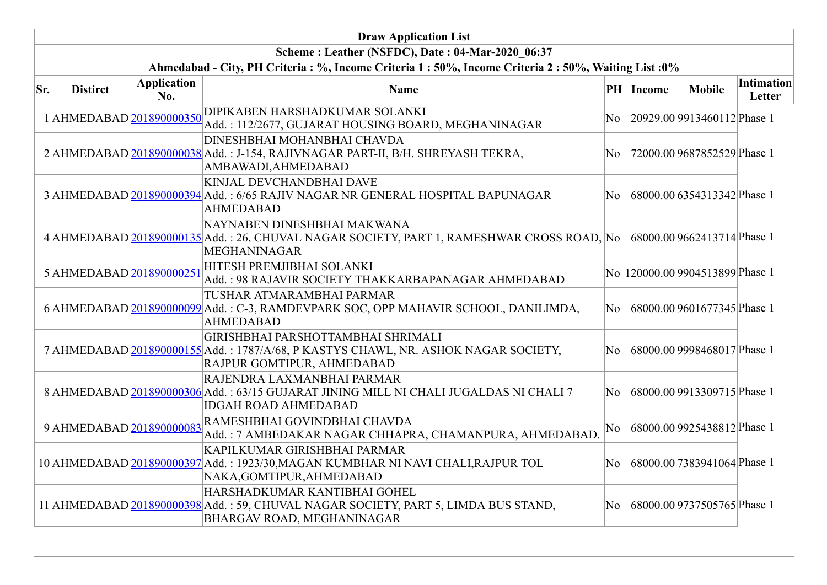|     | <b>Draw Application List</b> |                           |                                                                                                                                                         |           |               |                                 |                      |  |  |  |  |
|-----|------------------------------|---------------------------|---------------------------------------------------------------------------------------------------------------------------------------------------------|-----------|---------------|---------------------------------|----------------------|--|--|--|--|
|     |                              |                           | Scheme: Leather (NSFDC), Date: 04-Mar-2020 06:37                                                                                                        |           |               |                                 |                      |  |  |  |  |
|     |                              |                           | Ahmedabad - City, PH Criteria : %, Income Criteria 1 : 50%, Income Criteria 2 : 50%, Waiting List : 0%                                                  |           |               |                                 |                      |  |  |  |  |
| Sr. | <b>Distirct</b>              | <b>Application</b><br>No. | <b>Name</b>                                                                                                                                             | $\bf{PH}$ | <b>Income</b> | <b>Mobile</b>                   | Intimation<br>Letter |  |  |  |  |
|     | 1 AHMEDABAD 201890000350     |                           | DIPIKABEN HARSHADKUMAR SOLANKI<br>Add.: 112/2677, GUJARAT HOUSING BOARD, MEGHANINAGAR                                                                   | No        |               | 20929.00 9913460112 Phase 1     |                      |  |  |  |  |
|     |                              |                           | <b>DINESHBHAI MOHANBHAI CHAVDA</b><br>2 AHMEDABAD 201890000038 Add.: J-154, RAJIVNAGAR PART-II, B/H. SHREYASH TEKRA,<br>AMBAWADI, AHMEDABAD             | No        |               | 72000.00 9687852529 Phase 1     |                      |  |  |  |  |
|     |                              |                           | <b>KINJAL DEVCHANDBHAI DAVE</b><br>3 AHMEDABAD 201890000394 Add.: 6/65 RAJIV NAGAR NR GENERAL HOSPITAL BAPUNAGAR<br><b>AHMEDABAD</b>                    | No        |               | 68000.00 6354313342 Phase 1     |                      |  |  |  |  |
|     |                              |                           | NAYNABEN DINESHBHAI MAKWANA<br>4 AHMEDABAD 201890000135 Add.: 26, CHUVAL NAGAR SOCIETY, PART 1, RAMESHWAR CROSS ROAD, No<br><b>MEGHANINAGAR</b>         |           |               | 68000.00 9662413714 Phase 1     |                      |  |  |  |  |
|     | 5AHMEDABAD 201890000251      |                           | HITESH PREMJIBHAI SOLANKI<br>Add.: 98 RAJAVIR SOCIETY THAKKARBAPANAGAR AHMEDABAD                                                                        |           |               | No 120000.00 9904513899 Phase 1 |                      |  |  |  |  |
|     |                              |                           | TUSHAR ATMARAMBHAI PARMAR<br>6 AHMEDABAD 201890000099 Add.: C-3, RAMDEVPARK SOC, OPP MAHAVIR SCHOOL, DANILIMDA,<br><b>AHMEDABAD</b>                     | No        |               | 68000.00 9601677345 Phase 1     |                      |  |  |  |  |
|     |                              |                           | GIRISHBHAI PARSHOTTAMBHAI SHRIMALI<br>7 AHMEDABAD 201890000155 Add.: 1787/A/68, P KASTYS CHAWL, NR. ASHOK NAGAR SOCIETY,<br>RAJPUR GOMTIPUR, AHMEDABAD  | No        |               | 68000.00 9998468017 Phase 1     |                      |  |  |  |  |
|     |                              |                           | RAJENDRA LAXMANBHAI PARMAR<br>8 AHMEDABAD 201890000306 Add.: 63/15 GUJARAT JINING MILL NI CHALI JUGALDAS NI CHALI 7<br><b>IDGAH ROAD AHMEDABAD</b>      | No        |               | 68000.00 9913309715 Phase 1     |                      |  |  |  |  |
|     | 9 AHMEDABAD 201890000083     |                           | RAMESHBHAI GOVINDBHAI CHAVDA<br>Add.: 7 AMBEDAKAR NAGAR CHHAPRA, CHAMANPURA, AHMEDABAD.                                                                 | No        |               | 68000.00 9925438812 Phase 1     |                      |  |  |  |  |
|     |                              |                           | KAPILKUMAR GIRISHBHAI PARMAR<br>10 AHMEDABAD 201890000397 Add.: 1923/30, MAGAN KUMBHAR NI NAVI CHALI, RAJPUR TOL<br>NAKA, GOMTIPUR, AHMEDABAD           | No        |               | 68000.00 7383941064 Phase 1     |                      |  |  |  |  |
|     |                              |                           | HARSHADKUMAR KANTIBHAI GOHEL<br>11 AHMEDABAD 201890000398 Add.: 59, CHUVAL NAGAR SOCIETY, PART 5, LIMDA BUS STAND,<br><b>BHARGAV ROAD, MEGHANINAGAR</b> | No.       |               | 68000.00 9737505765 Phase 1     |                      |  |  |  |  |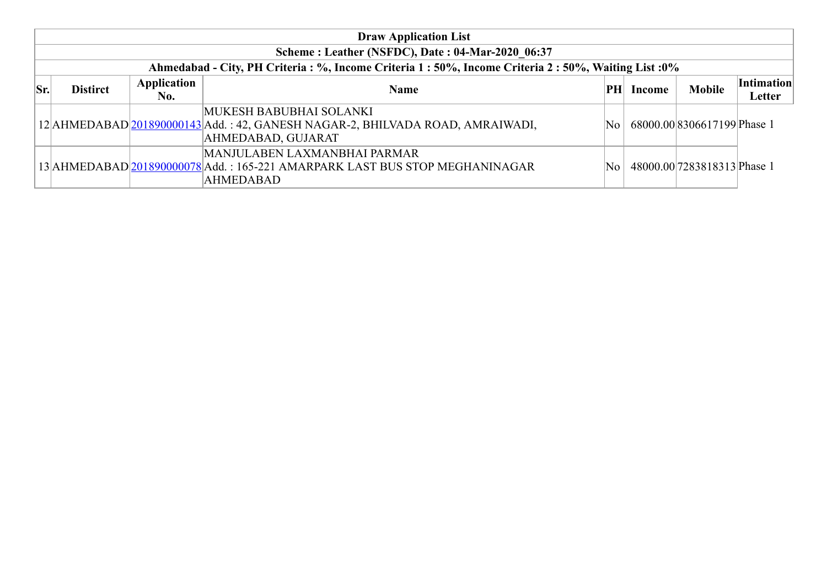|     | <b>Draw Application List</b>                                                                           |             |                                                                                                                          |      |        |                             |                   |  |  |  |  |  |
|-----|--------------------------------------------------------------------------------------------------------|-------------|--------------------------------------------------------------------------------------------------------------------------|------|--------|-----------------------------|-------------------|--|--|--|--|--|
|     | Scheme: Leather (NSFDC), Date: 04-Mar-2020 06:37                                                       |             |                                                                                                                          |      |        |                             |                   |  |  |  |  |  |
|     | Ahmedabad - City, PH Criteria : %, Income Criteria 1 : 50%, Income Criteria 2 : 50%, Waiting List : 0% |             |                                                                                                                          |      |        |                             |                   |  |  |  |  |  |
| Sr. | <b>Distirct</b>                                                                                        | Application | <b>Name</b>                                                                                                              | PН   | Income | <b>Mobile</b>               | <b>Intimation</b> |  |  |  |  |  |
|     |                                                                                                        | No.         |                                                                                                                          |      |        |                             | Letter            |  |  |  |  |  |
|     |                                                                                                        |             | MUKESH BABUBHAI SOLANKI<br>12 AHMEDABAD 201890000143 Add.: 42, GANESH NAGAR-2, BHILVADA ROAD, AMRAIWADI,                 | No   |        | 68000.00 8306617199 Phase 1 |                   |  |  |  |  |  |
|     |                                                                                                        |             | AHMEDABAD, GUJARAT                                                                                                       |      |        |                             |                   |  |  |  |  |  |
|     |                                                                                                        |             | MANJULABEN LAXMANBHAI PARMAR<br>13 AHMEDABAD 201890000078 Add.: 165-221 AMARPARK LAST BUS STOP MEGHANINAGAR<br>AHMEDABAD | No l |        | 48000.00 7283818313 Phase 1 |                   |  |  |  |  |  |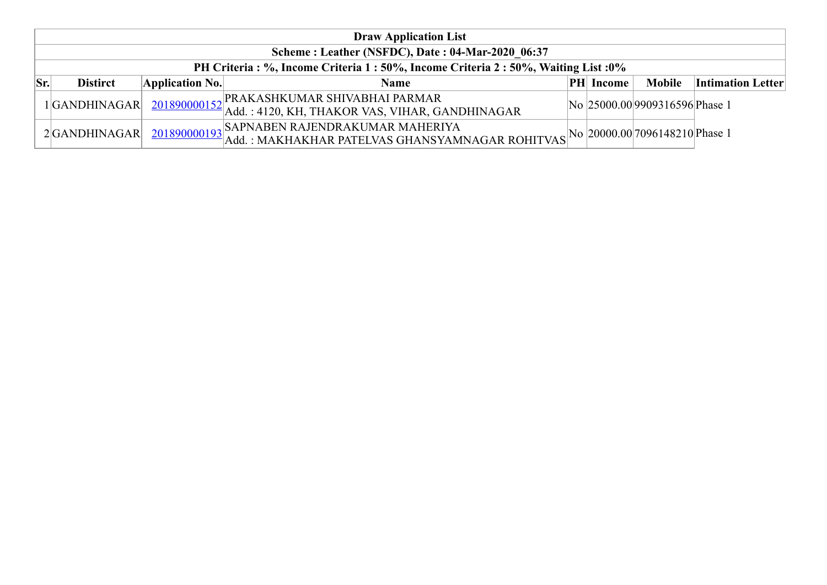|     | <b>Draw Application List</b>                     |                 |                                                                                                                                |  |                  |                                |                          |  |  |
|-----|--------------------------------------------------|-----------------|--------------------------------------------------------------------------------------------------------------------------------|--|------------------|--------------------------------|--------------------------|--|--|
|     | Scheme: Leather (NSFDC), Date: 04-Mar-2020 06:37 |                 |                                                                                                                                |  |                  |                                |                          |  |  |
|     |                                                  |                 | PH Criteria: %, Income Criteria 1:50%, Income Criteria 2:50%, Waiting List:0%                                                  |  |                  |                                |                          |  |  |
| Sr. | <b>Distirct</b>                                  | Application No. | <b>Name</b>                                                                                                                    |  | <b>PH</b> Income | <b>Mobile</b>                  | <b>Intimation Letter</b> |  |  |
|     | 1 GANDHINAGAR                                    |                 | 201890000152 PRAKASHKUMAR SHIVABHAI PARMAR<br>Add.: 4120, KH, THAKOR VAS, VIHAR, GANDHINAGAR                                   |  |                  | No 25000.00 9909316596 Phase 1 |                          |  |  |
|     | 2GANDHINAGAR                                     |                 | 201890000193 SAPNABEN RAJENDRAKUMAR MAHERIYA<br>Add.: MAKHAKHAR PATELVAS GHANSYAMNAGAR ROHITVAS No 20000.00 7096148210 Phase 1 |  |                  |                                |                          |  |  |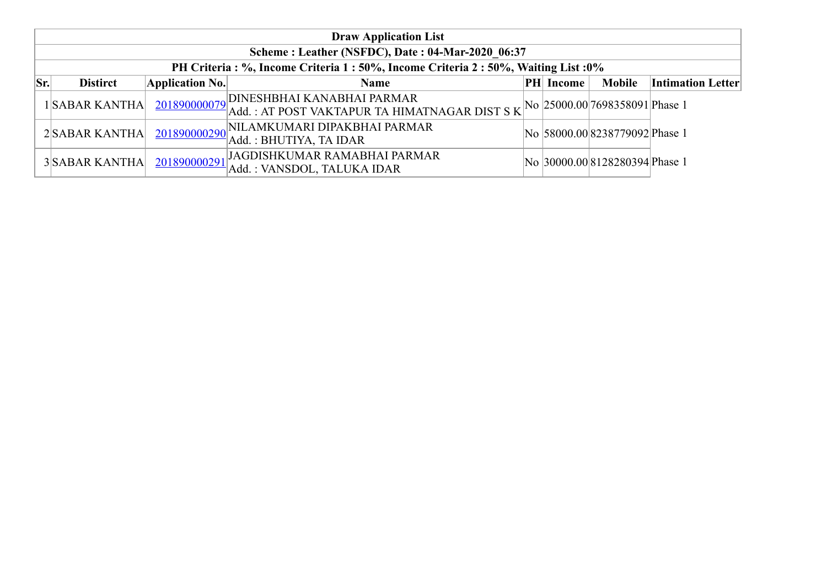|           | <b>Draw Application List</b>                                                         |                 |                                                                                         |  |           |                                |                          |  |  |  |  |
|-----------|--------------------------------------------------------------------------------------|-----------------|-----------------------------------------------------------------------------------------|--|-----------|--------------------------------|--------------------------|--|--|--|--|
|           | Scheme: Leather (NSFDC), Date: 04-Mar-2020 06:37                                     |                 |                                                                                         |  |           |                                |                          |  |  |  |  |
|           | PH Criteria : %, Income Criteria 1 : 50%, Income Criteria 2 : 50%, Waiting List : 0% |                 |                                                                                         |  |           |                                |                          |  |  |  |  |
| $ S_{r} $ | <b>Distirct</b>                                                                      | Application No. | <b>Name</b>                                                                             |  | PH Income | <b>Mobile</b>                  | <b>Intimation Letter</b> |  |  |  |  |
|           | 1SABAR KANTHA                                                                        |                 | 201890000079 DINESHBHAI KANABHAI PARMAR<br>Add.: AT POST VAKTAPUR TA HIMATNAGAR DIST SK |  |           | No 25000.00 7698358091 Phase 1 |                          |  |  |  |  |
|           | 2SABAR KANTHA                                                                        |                 | $201890000290$ NILAMKUMARI DIPAKBHAI PARMAR<br>Add.: BHUTIYA, TA IDAR                   |  |           | No 58000.00 8238779092 Phase 1 |                          |  |  |  |  |
|           | 3 SABAR KANTHA                                                                       | 201890000291    | JAGDISHKUMAR RAMABHAI PARMAR<br>Add.: VANSDOL, TALUKA IDAR                              |  |           | No 30000.00 8128280394 Phase 1 |                          |  |  |  |  |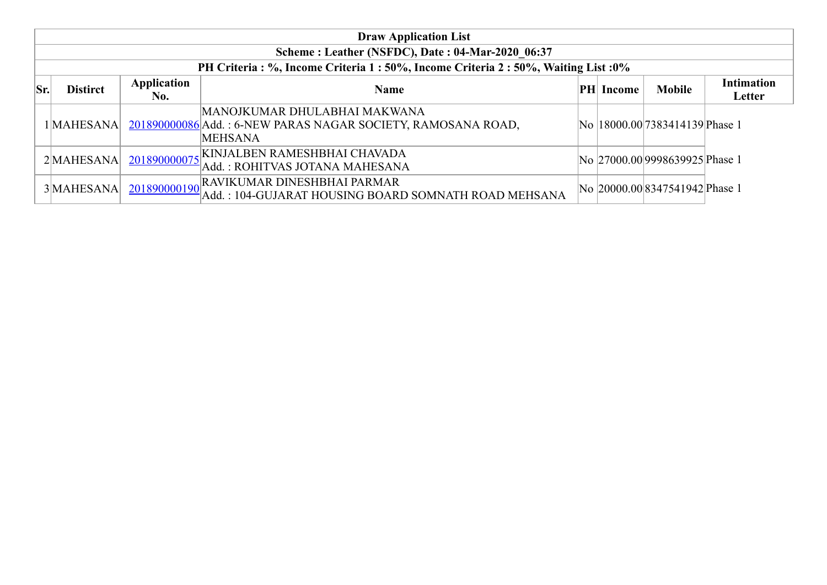|     | <b>Draw Application List</b>                     |                    |                                                                                                                   |  |           |                                 |                             |  |  |
|-----|--------------------------------------------------|--------------------|-------------------------------------------------------------------------------------------------------------------|--|-----------|---------------------------------|-----------------------------|--|--|
|     | Scheme: Leather (NSFDC), Date: 04-Mar-2020 06:37 |                    |                                                                                                                   |  |           |                                 |                             |  |  |
|     |                                                  |                    | PH Criteria : %, Income Criteria 1 : 50%, Income Criteria 2 : 50%, Waiting List : 0%                              |  |           |                                 |                             |  |  |
| Sr. | <b>Distirct</b>                                  | Application<br>No. | <b>Name</b>                                                                                                       |  | PH Income | <b>Mobile</b>                   | <b>Intimation</b><br>Letter |  |  |
|     | 1 MAHESANA                                       |                    | MANOJKUMAR DHULABHAI MAKWANA<br>201890000086 Add.: 6-NEW PARAS NAGAR SOCIETY, RAMOSANA ROAD,<br><b>MEHSANA</b>    |  |           | No  18000.00 7383414139 Phase 1 |                             |  |  |
|     | 2MAHESANA                                        |                    | $201890000075\begin{bmatrix} \text{KINJALBEN RAMESHBHAI CHAVADA} \end{bmatrix}$<br>Add.: ROHITVAS JOTANA MAHESANA |  |           | No 27000.00 9998639925 Phase 1  |                             |  |  |
|     | 3 MAHESANA                                       | 201890000190       | RAVIKUMAR DINESHBHAI PARMAR<br>Add.: 104-GUJARAT HOUSING BOARD SOMNATH ROAD MEHSANA                               |  |           | No 20000.00 8347541942 Phase 1  |                             |  |  |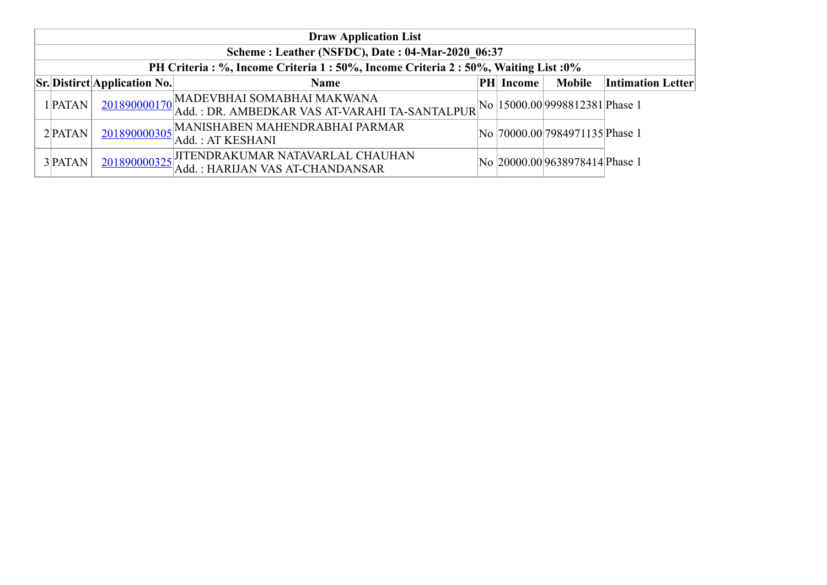| <b>Draw Application List</b>                     |                                     |                                                                                                                                                  |  |                  |                                 |                          |  |  |  |
|--------------------------------------------------|-------------------------------------|--------------------------------------------------------------------------------------------------------------------------------------------------|--|------------------|---------------------------------|--------------------------|--|--|--|
| Scheme: Leather (NSFDC), Date: 04-Mar-2020 06:37 |                                     |                                                                                                                                                  |  |                  |                                 |                          |  |  |  |
|                                                  |                                     | PH Criteria: %, Income Criteria 1:50%, Income Criteria 2:50%, Waiting List:0%                                                                    |  |                  |                                 |                          |  |  |  |
|                                                  | <b>Sr.</b> Distirct Application No. | <b>Name</b>                                                                                                                                      |  | <b>PH</b> Income | <b>Mobile</b>                   | <b>Intimation Letter</b> |  |  |  |
| 1 PATAN                                          |                                     | $\frac{201890000170}{\text{Add.}: \text{DR. AMBEDKAR VAS AT-VARAHI TA-SANTALPUR}}\text{No} \Big  15000.00 \Big  9998812381 \Big  \text{Phase 1}$ |  |                  |                                 |                          |  |  |  |
| $2$ <b>PATAN</b>                                 |                                     | 201890000305 MANISHABEN MAHENDRABHAI PARMAR<br> Add. : AT KESHANI                                                                                |  |                  | No  70000.00 7984971135 Phase 1 |                          |  |  |  |
| 3 PATAN                                          |                                     | 201890000325<br>Add.: HARIJAN VAS AT-CHANDANSAR                                                                                                  |  |                  | No 20000.00 9638978414 Phase 1  |                          |  |  |  |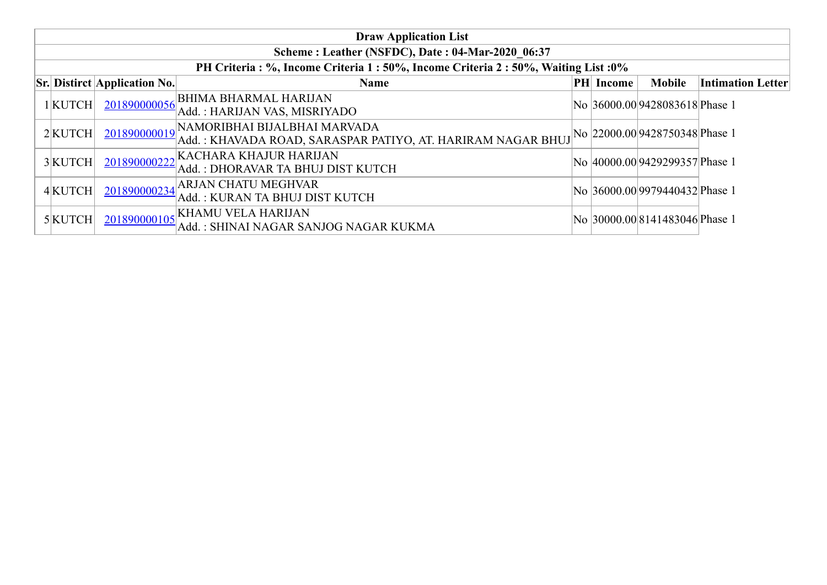| <b>Draw Application List</b>                     |                                     |                                                                                                          |  |           |                                |                          |  |  |  |  |
|--------------------------------------------------|-------------------------------------|----------------------------------------------------------------------------------------------------------|--|-----------|--------------------------------|--------------------------|--|--|--|--|
| Scheme: Leather (NSFDC), Date: 04-Mar-2020 06:37 |                                     |                                                                                                          |  |           |                                |                          |  |  |  |  |
|                                                  |                                     | PH Criteria: %, Income Criteria 1:50%, Income Criteria 2:50%, Waiting List:0%                            |  |           |                                |                          |  |  |  |  |
|                                                  | <b>Sr. Distirct Application No.</b> | <b>Name</b>                                                                                              |  | PH Income | <b>Mobile</b>                  | <b>Intimation Letter</b> |  |  |  |  |
| $1$ KUTCH                                        |                                     | 201890000056 BHIMA BHARMAL HARIJAN<br>Add.: HARIJAN VAS, MISRIYADO                                       |  |           | No 36000.00 9428083618 Phase 1 |                          |  |  |  |  |
| $2$ KUTCH                                        |                                     | 201890000019 NAMORIBHAI BIJALBHAI MARVADA<br>Add.: KHAVADA ROAD, SARASPAR PATIYO, AT. HARIRAM NAGAR BHUJ |  |           | No 22000.00 9428750348 Phase 1 |                          |  |  |  |  |
| 3 KUTCH                                          | 201890000222                        | KACHARA KHAJUR HARIJAN<br>Add.: DHORAVAR TA BHUJ DIST KUTCH                                              |  |           | No 40000.00 9429299357 Phase 1 |                          |  |  |  |  |
| $4$ KUTCH                                        | 201890000234                        | <b>ARJAN CHATU MEGHVAR</b><br>Add.: KURAN TA BHUJ DIST KUTCH                                             |  |           | No 36000.00 9979440432 Phase 1 |                          |  |  |  |  |
| $5$ KUTCH                                        |                                     | $\frac{201890000105}{\text{A}}$ KHAMU VELA HARIJAN<br>Add.: SHINAI NAGAR SANJOG NAGAR KUKMA              |  |           | No 30000.00 8141483046 Phase 1 |                          |  |  |  |  |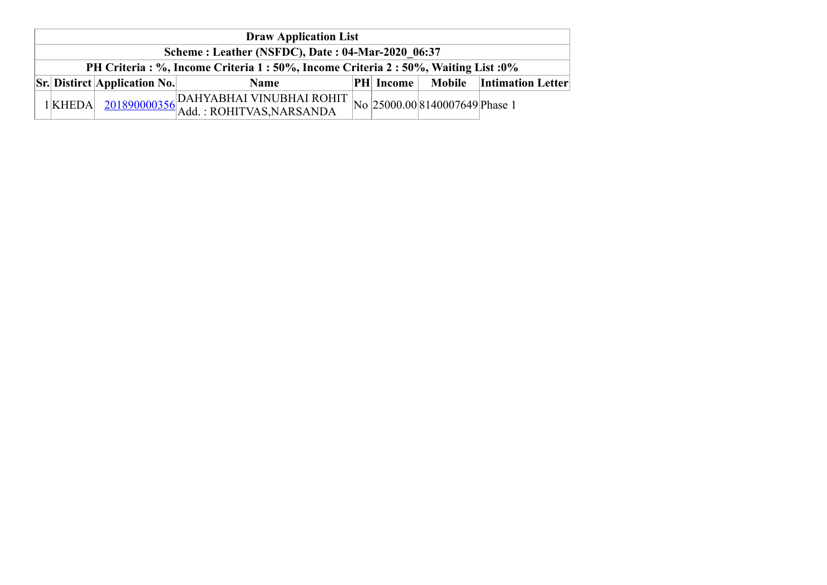| <b>Draw Application List</b>                                                         |                                                                        |                                                                                        |  |  |  |                          |  |  |
|--------------------------------------------------------------------------------------|------------------------------------------------------------------------|----------------------------------------------------------------------------------------|--|--|--|--------------------------|--|--|
| Scheme: Leather (NSFDC), Date: 04-Mar-2020 06:37                                     |                                                                        |                                                                                        |  |  |  |                          |  |  |
| PH Criteria : %, Income Criteria 1 : 50%, Income Criteria 2 : 50%, Waiting List : 0% |                                                                        |                                                                                        |  |  |  |                          |  |  |
|                                                                                      | <b>Sr.</b> Distirct Application No.<br><b>PH</b> Income<br><b>Name</b> |                                                                                        |  |  |  | Mobile Intimation Letter |  |  |
| $1$ KHEDA                                                                            |                                                                        | $\frac{201890000356}{\text{Add.}: ROHITVAS, NARSANDA}$ No $25000.008140007649$ Phase 1 |  |  |  |                          |  |  |